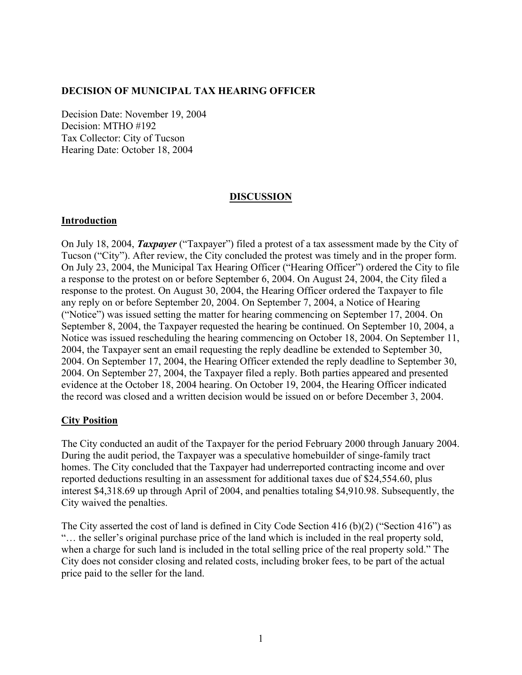### **DECISION OF MUNICIPAL TAX HEARING OFFICER**

Decision Date: November 19, 2004 Decision: MTHO #192 Tax Collector: City of Tucson Hearing Date: October 18, 2004

### **DISCUSSION**

### **Introduction**

On July 18, 2004, *Taxpayer* ("Taxpayer") filed a protest of a tax assessment made by the City of Tucson ("City"). After review, the City concluded the protest was timely and in the proper form. On July 23, 2004, the Municipal Tax Hearing Officer ("Hearing Officer") ordered the City to file a response to the protest on or before September 6, 2004. On August 24, 2004, the City filed a response to the protest. On August 30, 2004, the Hearing Officer ordered the Taxpayer to file any reply on or before September 20, 2004. On September 7, 2004, a Notice of Hearing ("Notice") was issued setting the matter for hearing commencing on September 17, 2004. On September 8, 2004, the Taxpayer requested the hearing be continued. On September 10, 2004, a Notice was issued rescheduling the hearing commencing on October 18, 2004. On September 11, 2004, the Taxpayer sent an email requesting the reply deadline be extended to September 30, 2004. On September 17, 2004, the Hearing Officer extended the reply deadline to September 30, 2004. On September 27, 2004, the Taxpayer filed a reply. Both parties appeared and presented evidence at the October 18, 2004 hearing. On October 19, 2004, the Hearing Officer indicated the record was closed and a written decision would be issued on or before December 3, 2004.

### **City Position**

The City conducted an audit of the Taxpayer for the period February 2000 through January 2004. During the audit period, the Taxpayer was a speculative homebuilder of singe-family tract homes. The City concluded that the Taxpayer had underreported contracting income and over reported deductions resulting in an assessment for additional taxes due of \$24,554.60, plus interest \$4,318.69 up through April of 2004, and penalties totaling \$4,910.98. Subsequently, the City waived the penalties.

The City asserted the cost of land is defined in City Code Section 416 (b)(2) ("Section 416") as "… the seller's original purchase price of the land which is included in the real property sold, when a charge for such land is included in the total selling price of the real property sold." The City does not consider closing and related costs, including broker fees, to be part of the actual price paid to the seller for the land.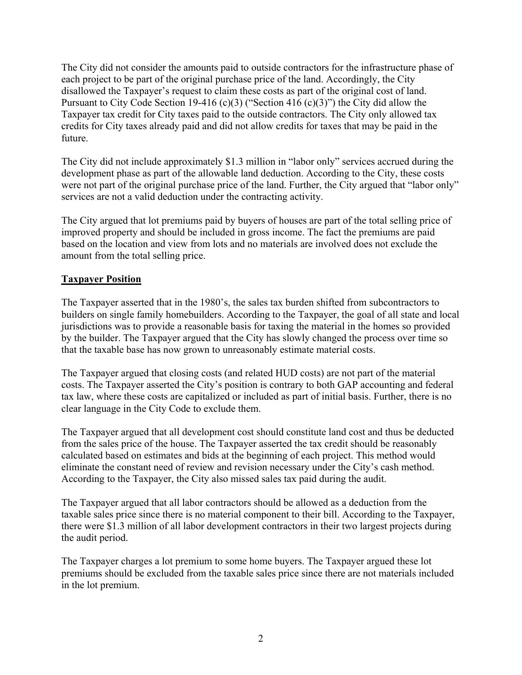The City did not consider the amounts paid to outside contractors for the infrastructure phase of each project to be part of the original purchase price of the land. Accordingly, the City disallowed the Taxpayer's request to claim these costs as part of the original cost of land. Pursuant to City Code Section 19-416 (c)(3) ("Section 416 (c)(3)") the City did allow the Taxpayer tax credit for City taxes paid to the outside contractors. The City only allowed tax credits for City taxes already paid and did not allow credits for taxes that may be paid in the future.

The City did not include approximately \$1.3 million in "labor only" services accrued during the development phase as part of the allowable land deduction. According to the City, these costs were not part of the original purchase price of the land. Further, the City argued that "labor only" services are not a valid deduction under the contracting activity.

The City argued that lot premiums paid by buyers of houses are part of the total selling price of improved property and should be included in gross income. The fact the premiums are paid based on the location and view from lots and no materials are involved does not exclude the amount from the total selling price.

# **Taxpayer Position**

The Taxpayer asserted that in the 1980's, the sales tax burden shifted from subcontractors to builders on single family homebuilders. According to the Taxpayer, the goal of all state and local jurisdictions was to provide a reasonable basis for taxing the material in the homes so provided by the builder. The Taxpayer argued that the City has slowly changed the process over time so that the taxable base has now grown to unreasonably estimate material costs.

The Taxpayer argued that closing costs (and related HUD costs) are not part of the material costs. The Taxpayer asserted the City's position is contrary to both GAP accounting and federal tax law, where these costs are capitalized or included as part of initial basis. Further, there is no clear language in the City Code to exclude them.

The Taxpayer argued that all development cost should constitute land cost and thus be deducted from the sales price of the house. The Taxpayer asserted the tax credit should be reasonably calculated based on estimates and bids at the beginning of each project. This method would eliminate the constant need of review and revision necessary under the City's cash method. According to the Taxpayer, the City also missed sales tax paid during the audit.

The Taxpayer argued that all labor contractors should be allowed as a deduction from the taxable sales price since there is no material component to their bill. According to the Taxpayer, there were \$1.3 million of all labor development contractors in their two largest projects during the audit period.

The Taxpayer charges a lot premium to some home buyers. The Taxpayer argued these lot premiums should be excluded from the taxable sales price since there are not materials included in the lot premium.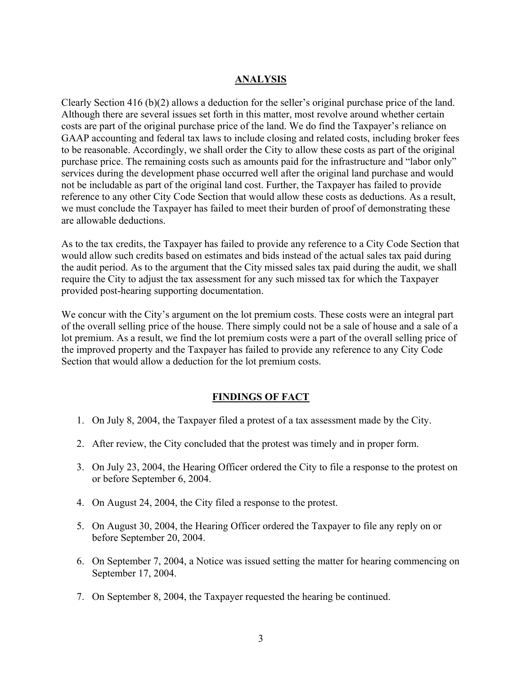## **ANALYSIS**

Clearly Section 416 (b)(2) allows a deduction for the seller's original purchase price of the land. Although there are several issues set forth in this matter, most revolve around whether certain costs are part of the original purchase price of the land. We do find the Taxpayer's reliance on GAAP accounting and federal tax laws to include closing and related costs, including broker fees to be reasonable. Accordingly, we shall order the City to allow these costs as part of the original purchase price. The remaining costs such as amounts paid for the infrastructure and "labor only" services during the development phase occurred well after the original land purchase and would not be includable as part of the original land cost. Further, the Taxpayer has failed to provide reference to any other City Code Section that would allow these costs as deductions. As a result, we must conclude the Taxpayer has failed to meet their burden of proof of demonstrating these are allowable deductions.

As to the tax credits, the Taxpayer has failed to provide any reference to a City Code Section that would allow such credits based on estimates and bids instead of the actual sales tax paid during the audit period. As to the argument that the City missed sales tax paid during the audit, we shall require the City to adjust the tax assessment for any such missed tax for which the Taxpayer provided post-hearing supporting documentation.

We concur with the City's argument on the lot premium costs. These costs were an integral part of the overall selling price of the house. There simply could not be a sale of house and a sale of a lot premium. As a result, we find the lot premium costs were a part of the overall selling price of the improved property and the Taxpayer has failed to provide any reference to any City Code Section that would allow a deduction for the lot premium costs.

## **FINDINGS OF FACT**

- 1. On July 8, 2004, the Taxpayer filed a protest of a tax assessment made by the City.
- 2. After review, the City concluded that the protest was timely and in proper form.
- 3. On July 23, 2004, the Hearing Officer ordered the City to file a response to the protest on or before September 6, 2004.
- 4. On August 24, 2004, the City filed a response to the protest.
- 5. On August 30, 2004, the Hearing Officer ordered the Taxpayer to file any reply on or before September 20, 2004.
- 6. On September 7, 2004, a Notice was issued setting the matter for hearing commencing on September 17, 2004.
- 7. On September 8, 2004, the Taxpayer requested the hearing be continued.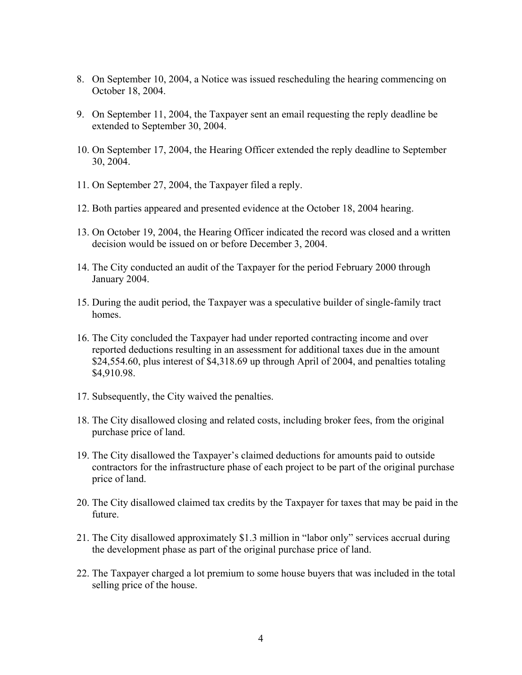- 8. On September 10, 2004, a Notice was issued rescheduling the hearing commencing on October 18, 2004.
- 9. On September 11, 2004, the Taxpayer sent an email requesting the reply deadline be extended to September 30, 2004.
- 10. On September 17, 2004, the Hearing Officer extended the reply deadline to September 30, 2004.
- 11. On September 27, 2004, the Taxpayer filed a reply.
- 12. Both parties appeared and presented evidence at the October 18, 2004 hearing.
- 13. On October 19, 2004, the Hearing Officer indicated the record was closed and a written decision would be issued on or before December 3, 2004.
- 14. The City conducted an audit of the Taxpayer for the period February 2000 through January 2004.
- 15. During the audit period, the Taxpayer was a speculative builder of single-family tract homes.
- 16. The City concluded the Taxpayer had under reported contracting income and over reported deductions resulting in an assessment for additional taxes due in the amount \$24,554.60, plus interest of \$4,318.69 up through April of 2004, and penalties totaling \$4,910.98.
- 17. Subsequently, the City waived the penalties.
- 18. The City disallowed closing and related costs, including broker fees, from the original purchase price of land.
- 19. The City disallowed the Taxpayer's claimed deductions for amounts paid to outside contractors for the infrastructure phase of each project to be part of the original purchase price of land.
- 20. The City disallowed claimed tax credits by the Taxpayer for taxes that may be paid in the future.
- 21. The City disallowed approximately \$1.3 million in "labor only" services accrual during the development phase as part of the original purchase price of land.
- 22. The Taxpayer charged a lot premium to some house buyers that was included in the total selling price of the house.